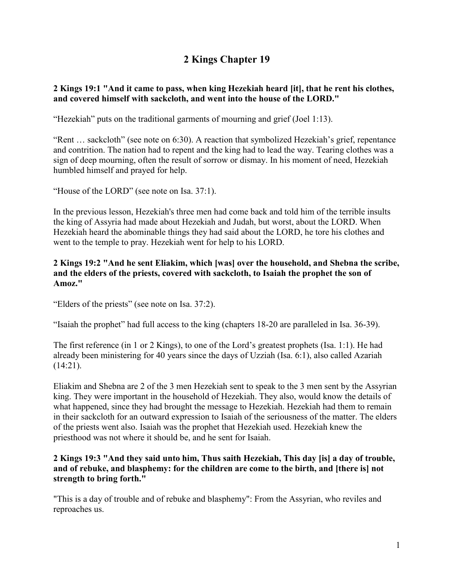# **2 Kings Chapter 19**

## **2 Kings 19:1 "And it came to pass, when king Hezekiah heard [it], that he rent his clothes, and covered himself with sackcloth, and went into the house of the LORD."**

"Hezekiah" puts on the traditional garments of mourning and grief (Joel 1:13).

"Rent … sackcloth" (see note on 6:30). A reaction that symbolized Hezekiah's grief, repentance and contrition. The nation had to repent and the king had to lead the way. Tearing clothes was a sign of deep mourning, often the result of sorrow or dismay. In his moment of need, Hezekiah humbled himself and prayed for help.

"House of the LORD" (see note on Isa. 37:1).

In the previous lesson, Hezekiah's three men had come back and told him of the terrible insults the king of Assyria had made about Hezekiah and Judah, but worst, about the LORD. When Hezekiah heard the abominable things they had said about the LORD, he tore his clothes and went to the temple to pray. Hezekiah went for help to his LORD.

#### **2 Kings 19:2 "And he sent Eliakim, which [was] over the household, and Shebna the scribe, and the elders of the priests, covered with sackcloth, to Isaiah the prophet the son of Amoz."**

"Elders of the priests" (see note on Isa. 37:2).

"Isaiah the prophet" had full access to the king (chapters 18-20 are paralleled in Isa. 36-39).

The first reference (in 1 or 2 Kings), to one of the Lord's greatest prophets (Isa. 1:1). He had already been ministering for 40 years since the days of Uzziah (Isa. 6:1), also called Azariah  $(14:21)$ .

Eliakim and Shebna are 2 of the 3 men Hezekiah sent to speak to the 3 men sent by the Assyrian king. They were important in the household of Hezekiah. They also, would know the details of what happened, since they had brought the message to Hezekiah. Hezekiah had them to remain in their sackcloth for an outward expression to Isaiah of the seriousness of the matter. The elders of the priests went also. Isaiah was the prophet that Hezekiah used. Hezekiah knew the priesthood was not where it should be, and he sent for Isaiah.

#### **2 Kings 19:3 "And they said unto him, Thus saith Hezekiah, This day [is] a day of trouble, and of rebuke, and blasphemy: for the children are come to the birth, and [there is] not strength to bring forth."**

"This is a day of trouble and of rebuke and blasphemy": From the Assyrian, who reviles and reproaches us.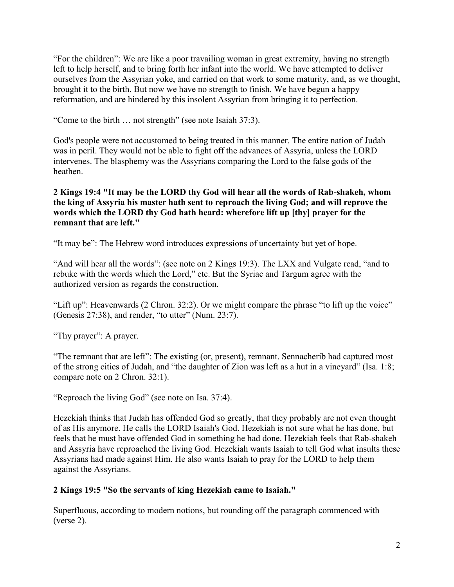"For the children": We are like a poor travailing woman in great extremity, having no strength left to help herself, and to bring forth her infant into the world. We have attempted to deliver ourselves from the Assyrian yoke, and carried on that work to some maturity, and, as we thought, brought it to the birth. But now we have no strength to finish. We have begun a happy reformation, and are hindered by this insolent Assyrian from bringing it to perfection.

"Come to the birth … not strength" (see note Isaiah 37:3).

God's people were not accustomed to being treated in this manner. The entire nation of Judah was in peril. They would not be able to fight off the advances of Assyria, unless the LORD intervenes. The blasphemy was the Assyrians comparing the Lord to the false gods of the heathen.

## **2 Kings 19:4 "It may be the LORD thy God will hear all the words of Rab-shakeh, whom the king of Assyria his master hath sent to reproach the living God; and will reprove the words which the LORD thy God hath heard: wherefore lift up [thy] prayer for the remnant that are left."**

"It may be": The Hebrew word introduces expressions of uncertainty but yet of hope.

"And will hear all the words": (see note on 2 Kings 19:3). The LXX and Vulgate read, "and to rebuke with the words which the Lord," etc. But the Syriac and Targum agree with the authorized version as regards the construction.

"Lift up": Heavenwards (2 Chron. 32:2). Or we might compare the phrase "to lift up the voice" (Genesis 27:38), and render, "to utter" (Num. 23:7).

"Thy prayer": A prayer.

"The remnant that are left": The existing (or, present), remnant. Sennacherib had captured most of the strong cities of Judah, and "the daughter of Zion was left as a hut in a vineyard" (Isa. 1:8; compare note on 2 Chron. 32:1).

"Reproach the living God" (see note on Isa. 37:4).

Hezekiah thinks that Judah has offended God so greatly, that they probably are not even thought of as His anymore. He calls the LORD Isaiah's God. Hezekiah is not sure what he has done, but feels that he must have offended God in something he had done. Hezekiah feels that Rab-shakeh and Assyria have reproached the living God. Hezekiah wants Isaiah to tell God what insults these Assyrians had made against Him. He also wants Isaiah to pray for the LORD to help them against the Assyrians.

# **2 Kings 19:5 "So the servants of king Hezekiah came to Isaiah."**

Superfluous, according to modern notions, but rounding off the paragraph commenced with (verse 2).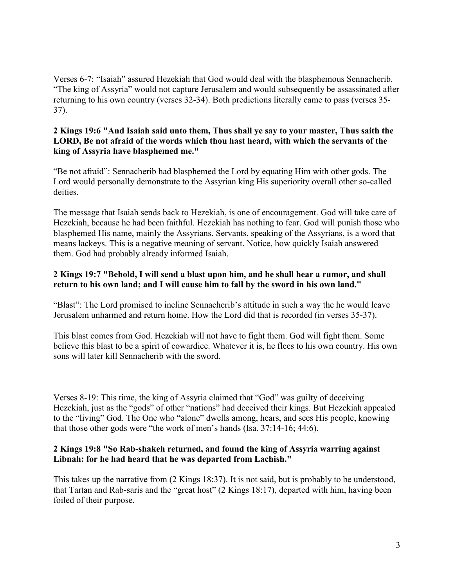Verses 6-7: "Isaiah" assured Hezekiah that God would deal with the blasphemous Sennacherib. "The king of Assyria" would not capture Jerusalem and would subsequently be assassinated after returning to his own country (verses 32-34). Both predictions literally came to pass (verses 35- 37).

#### **2 Kings 19:6 "And Isaiah said unto them, Thus shall ye say to your master, Thus saith the LORD, Be not afraid of the words which thou hast heard, with which the servants of the king of Assyria have blasphemed me."**

"Be not afraid": Sennacherib had blasphemed the Lord by equating Him with other gods. The Lord would personally demonstrate to the Assyrian king His superiority overall other so-called deities.

The message that Isaiah sends back to Hezekiah, is one of encouragement. God will take care of Hezekiah, because he had been faithful. Hezekiah has nothing to fear. God will punish those who blasphemed His name, mainly the Assyrians. Servants, speaking of the Assyrians, is a word that means lackeys. This is a negative meaning of servant. Notice, how quickly Isaiah answered them. God had probably already informed Isaiah.

## **2 Kings 19:7 "Behold, I will send a blast upon him, and he shall hear a rumor, and shall return to his own land; and I will cause him to fall by the sword in his own land."**

"Blast": The Lord promised to incline Sennacherib's attitude in such a way the he would leave Jerusalem unharmed and return home. How the Lord did that is recorded (in verses 35-37).

This blast comes from God. Hezekiah will not have to fight them. God will fight them. Some believe this blast to be a spirit of cowardice. Whatever it is, he flees to his own country. His own sons will later kill Sennacherib with the sword.

Verses 8-19: This time, the king of Assyria claimed that "God" was guilty of deceiving Hezekiah, just as the "gods" of other "nations" had deceived their kings. But Hezekiah appealed to the "living" God. The One who "alone" dwells among, hears, and sees His people, knowing that those other gods were "the work of men's hands (Isa. 37:14-16; 44:6).

## **2 Kings 19:8 "So Rab-shakeh returned, and found the king of Assyria warring against Libnah: for he had heard that he was departed from Lachish."**

This takes up the narrative from (2 Kings 18:37). It is not said, but is probably to be understood, that Tartan and Rab-saris and the "great host" (2 Kings 18:17), departed with him, having been foiled of their purpose.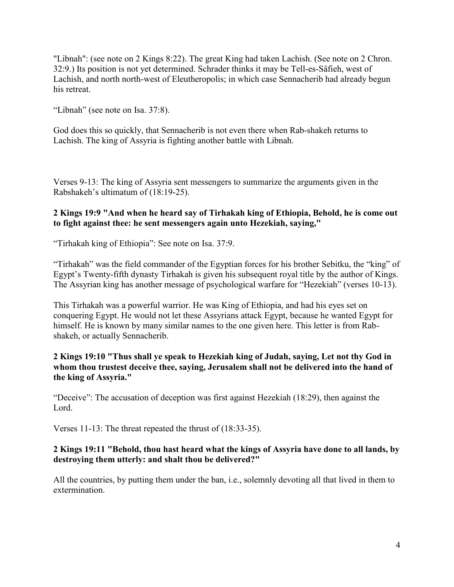"Libnah": (see note on 2 Kings 8:22). The great King had taken Lachish. (See note on 2 Chron. 32:9.) Its position is not yet determined. Schrader thinks it may be Tell-es-Sâfieh, west of Lachish, and north north-west of Eleutheropolis; in which case Sennacherib had already begun his retreat.

"Libnah" (see note on Isa. 37:8).

God does this so quickly, that Sennacherib is not even there when Rab-shakeh returns to Lachish. The king of Assyria is fighting another battle with Libnah.

Verses 9-13: The king of Assyria sent messengers to summarize the arguments given in the Rabshakeh's ultimatum of (18:19-25).

## **2 Kings 19:9 "And when he heard say of Tirhakah king of Ethiopia, Behold, he is come out to fight against thee: he sent messengers again unto Hezekiah, saying,"**

"Tirhakah king of Ethiopia": See note on Isa. 37:9.

"Tirhakah" was the field commander of the Egyptian forces for his brother Sebitku, the "king" of Egypt's Twenty-fifth dynasty Tirhakah is given his subsequent royal title by the author of Kings. The Assyrian king has another message of psychological warfare for "Hezekiah" (verses 10-13).

This Tirhakah was a powerful warrior. He was King of Ethiopia, and had his eyes set on conquering Egypt. He would not let these Assyrians attack Egypt, because he wanted Egypt for himself. He is known by many similar names to the one given here. This letter is from Rabshakeh, or actually Sennacherib.

## **2 Kings 19:10 "Thus shall ye speak to Hezekiah king of Judah, saying, Let not thy God in whom thou trustest deceive thee, saying, Jerusalem shall not be delivered into the hand of the king of Assyria."**

"Deceive": The accusation of deception was first against Hezekiah (18:29), then against the Lord.

Verses 11-13: The threat repeated the thrust of (18:33-35).

## **2 Kings 19:11 "Behold, thou hast heard what the kings of Assyria have done to all lands, by destroying them utterly: and shalt thou be delivered?"**

All the countries, by putting them under the ban, i.e., solemnly devoting all that lived in them to extermination.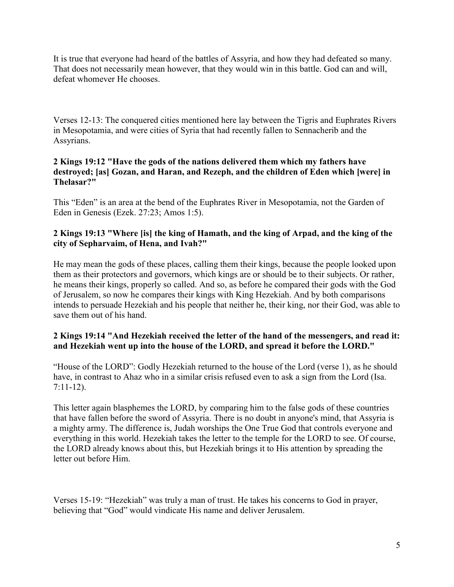It is true that everyone had heard of the battles of Assyria, and how they had defeated so many. That does not necessarily mean however, that they would win in this battle. God can and will, defeat whomever He chooses

Verses 12-13: The conquered cities mentioned here lay between the Tigris and Euphrates Rivers in Mesopotamia, and were cities of Syria that had recently fallen to Sennacherib and the Assyrians.

## **2 Kings 19:12 "Have the gods of the nations delivered them which my fathers have destroyed; [as] Gozan, and Haran, and Rezeph, and the children of Eden which [were] in Thelasar?"**

This "Eden" is an area at the bend of the Euphrates River in Mesopotamia, not the Garden of Eden in Genesis (Ezek. 27:23; Amos 1:5).

## **2 Kings 19:13 "Where [is] the king of Hamath, and the king of Arpad, and the king of the city of Sepharvaim, of Hena, and Ivah?"**

He may mean the gods of these places, calling them their kings, because the people looked upon them as their protectors and governors, which kings are or should be to their subjects. Or rather, he means their kings, properly so called. And so, as before he compared their gods with the God of Jerusalem, so now he compares their kings with King Hezekiah. And by both comparisons intends to persuade Hezekiah and his people that neither he, their king, nor their God, was able to save them out of his hand.

# **2 Kings 19:14 "And Hezekiah received the letter of the hand of the messengers, and read it: and Hezekiah went up into the house of the LORD, and spread it before the LORD."**

"House of the LORD": Godly Hezekiah returned to the house of the Lord (verse 1), as he should have, in contrast to Ahaz who in a similar crisis refused even to ask a sign from the Lord (Isa. 7:11-12).

This letter again blasphemes the LORD, by comparing him to the false gods of these countries that have fallen before the sword of Assyria. There is no doubt in anyone's mind, that Assyria is a mighty army. The difference is, Judah worships the One True God that controls everyone and everything in this world. Hezekiah takes the letter to the temple for the LORD to see. Of course, the LORD already knows about this, but Hezekiah brings it to His attention by spreading the letter out before Him.

Verses 15-19: "Hezekiah" was truly a man of trust. He takes his concerns to God in prayer, believing that "God" would vindicate His name and deliver Jerusalem.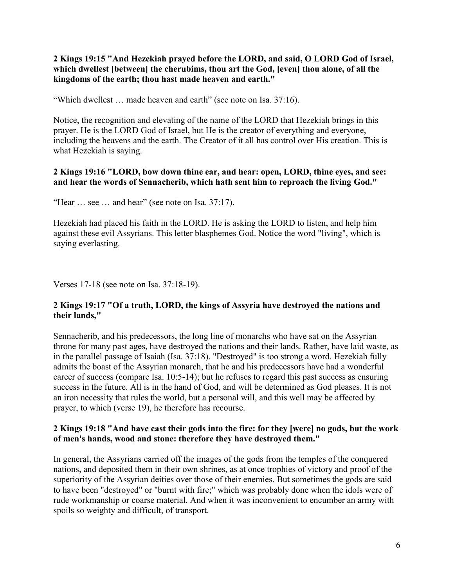**2 Kings 19:15 "And Hezekiah prayed before the LORD, and said, O LORD God of Israel, which dwellest [between] the cherubims, thou art the God, [even] thou alone, of all the kingdoms of the earth; thou hast made heaven and earth."**

"Which dwellest … made heaven and earth" (see note on Isa. 37:16).

Notice, the recognition and elevating of the name of the LORD that Hezekiah brings in this prayer. He is the LORD God of Israel, but He is the creator of everything and everyone, including the heavens and the earth. The Creator of it all has control over His creation. This is what Hezekiah is saying.

## **2 Kings 19:16 "LORD, bow down thine ear, and hear: open, LORD, thine eyes, and see: and hear the words of Sennacherib, which hath sent him to reproach the living God."**

"Hear  $\ldots$  see  $\ldots$  and hear" (see note on Isa, 37:17).

Hezekiah had placed his faith in the LORD. He is asking the LORD to listen, and help him against these evil Assyrians. This letter blasphemes God. Notice the word "living", which is saying everlasting.

Verses 17-18 (see note on Isa. 37:18-19).

#### **2 Kings 19:17 "Of a truth, LORD, the kings of Assyria have destroyed the nations and their lands,"**

Sennacherib, and his predecessors, the long line of monarchs who have sat on the Assyrian throne for many past ages, have destroyed the nations and their lands. Rather, have laid waste, as in the parallel passage of Isaiah (Isa. 37:18). "Destroyed" is too strong a word. Hezekiah fully admits the boast of the Assyrian monarch, that he and his predecessors have had a wonderful career of success (compare Isa. 10:5-14); but he refuses to regard this past success as ensuring success in the future. All is in the hand of God, and will be determined as God pleases. It is not an iron necessity that rules the world, but a personal will, and this well may be affected by prayer, to which (verse 19), he therefore has recourse.

#### **2 Kings 19:18 "And have cast their gods into the fire: for they [were] no gods, but the work of men's hands, wood and stone: therefore they have destroyed them."**

In general, the Assyrians carried off the images of the gods from the temples of the conquered nations, and deposited them in their own shrines, as at once trophies of victory and proof of the superiority of the Assyrian deities over those of their enemies. But sometimes the gods are said to have been "destroyed" or "burnt with fire;" which was probably done when the idols were of rude workmanship or coarse material. And when it was inconvenient to encumber an army with spoils so weighty and difficult, of transport.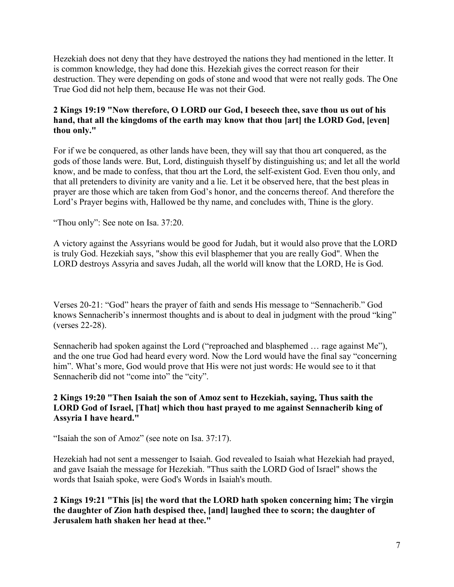Hezekiah does not deny that they have destroyed the nations they had mentioned in the letter. It is common knowledge, they had done this. Hezekiah gives the correct reason for their destruction. They were depending on gods of stone and wood that were not really gods. The One True God did not help them, because He was not their God.

## **2 Kings 19:19 "Now therefore, O LORD our God, I beseech thee, save thou us out of his hand, that all the kingdoms of the earth may know that thou [art] the LORD God, [even] thou only."**

For if we be conquered, as other lands have been, they will say that thou art conquered, as the gods of those lands were. But, Lord, distinguish thyself by distinguishing us; and let all the world know, and be made to confess, that thou art the Lord, the self-existent God. Even thou only, and that all pretenders to divinity are vanity and a lie. Let it be observed here, that the best pleas in prayer are those which are taken from God's honor, and the concerns thereof. And therefore the Lord's Prayer begins with, Hallowed be thy name, and concludes with, Thine is the glory.

"Thou only": See note on Isa. 37:20.

A victory against the Assyrians would be good for Judah, but it would also prove that the LORD is truly God. Hezekiah says, "show this evil blasphemer that you are really God". When the LORD destroys Assyria and saves Judah, all the world will know that the LORD, He is God.

Verses 20-21: "God" hears the prayer of faith and sends His message to "Sennacherib." God knows Sennacherib's innermost thoughts and is about to deal in judgment with the proud "king" (verses 22-28).

Sennacherib had spoken against the Lord ("reproached and blasphemed … rage against Me"), and the one true God had heard every word. Now the Lord would have the final say "concerning him". What's more, God would prove that His were not just words: He would see to it that Sennacherib did not "come into" the "city".

## **2 Kings 19:20 "Then Isaiah the son of Amoz sent to Hezekiah, saying, Thus saith the LORD God of Israel, [That] which thou hast prayed to me against Sennacherib king of Assyria I have heard."**

"Isaiah the son of Amoz" (see note on Isa. 37:17).

Hezekiah had not sent a messenger to Isaiah. God revealed to Isaiah what Hezekiah had prayed, and gave Isaiah the message for Hezekiah. "Thus saith the LORD God of Israel" shows the words that Isaiah spoke, were God's Words in Isaiah's mouth.

**2 Kings 19:21 "This [is] the word that the LORD hath spoken concerning him; The virgin the daughter of Zion hath despised thee, [and] laughed thee to scorn; the daughter of Jerusalem hath shaken her head at thee."**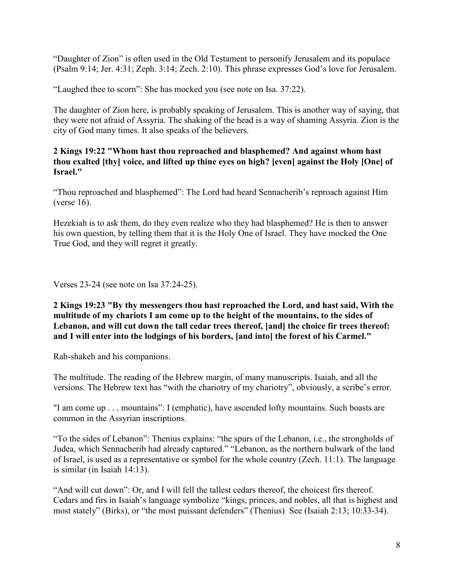"Daughter of Zion" is often used in the Old Testament to personify Jerusalem and its populace (Psalm 9:14; Jer. 4:31; Zeph. 3:14; Zech. 2:10). This phrase expresses God's love for Jerusalem.

"Laughed thee to scorn": She has mocked you (see note on Isa. 37:22).

The daughter of Zion here, is probably speaking of Jerusalem. This is another way of saying, that they were not afraid of Assyria. The shaking of the head is a way of shaming Assyria. Zion is the city of God many times. It also speaks of the believers.

## **2 Kings 19:22 "Whom hast thou reproached and blasphemed? And against whom hast thou exalted [thy] voice, and lifted up thine eyes on high? [even] against the Holy [One] of Israel."**

"Thou reproached and blasphemed": The Lord had heard Sennacherib's reproach against Him (verse 16).

Hezekiah is to ask them, do they even realize who they had blasphemed? He is then to answer his own question, by telling them that it is the Holy One of Israel. They have mocked the One True God, and they will regret it greatly.

Verses 23-24 (see note on Isa 37:24-25).

**2 Kings 19:23 "By thy messengers thou hast reproached the Lord, and hast said, With the multitude of my chariots I am come up to the height of the mountains, to the sides of Lebanon, and will cut down the tall cedar trees thereof, [and] the choice fir trees thereof: and I will enter into the lodgings of his borders, [and into] the forest of his Carmel."**

Rab-shakeh and his companions.

The multitude. The reading of the Hebrew margin, of many manuscripts. Isaiah, and all the versions. The Hebrew text has "with the chariotry of my chariotry", obviously, a scribe's error.

"I am come up . . . mountains": I (emphatic), have ascended lofty mountains. Such boasts are common in the Assyrian inscriptions.

"To the sides of Lebanon": Thenius explains: "the spurs of the Lebanon, i.e., the strongholds of Judea, which Sennacherib had already captured." "Lebanon, as the northern bulwark of the land of Israel, is used as a representative or symbol for the whole country (Zech. 11:1). The language is similar (in Isaiah 14:13).

"And will cut down": Or, and I will fell the tallest cedars thereof, the choicest firs thereof. Cedars and firs in Isaiah's language symbolize "kings, princes, and nobles, all that is highest and most stately" (Birks), or "the most puissant defenders" (Thenius) See (Isaiah 2:13; 10:33-34).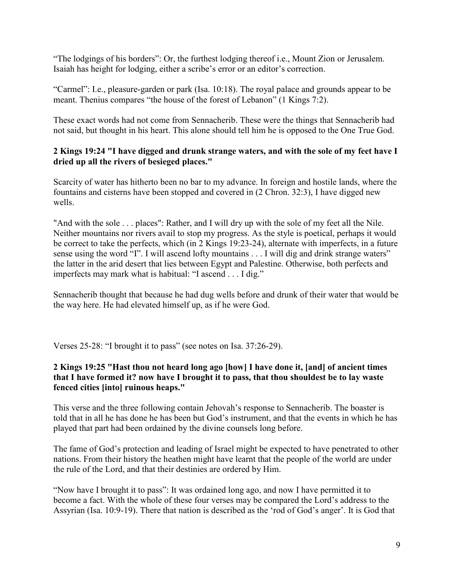"The lodgings of his borders": Or, the furthest lodging thereof i.e., Mount Zion or Jerusalem. Isaiah has height for lodging, either a scribe's error or an editor's correction.

"Carmel": I.e., pleasure-garden or park (Isa. 10:18). The royal palace and grounds appear to be meant. Thenius compares "the house of the forest of Lebanon" (1 Kings 7:2).

These exact words had not come from Sennacherib. These were the things that Sennacherib had not said, but thought in his heart. This alone should tell him he is opposed to the One True God.

## **2 Kings 19:24 "I have digged and drunk strange waters, and with the sole of my feet have I dried up all the rivers of besieged places."**

Scarcity of water has hitherto been no bar to my advance. In foreign and hostile lands, where the fountains and cisterns have been stopped and covered in (2 Chron. 32:3), I have digged new wells.

"And with the sole . . . places": Rather, and I will dry up with the sole of my feet all the Nile. Neither mountains nor rivers avail to stop my progress. As the style is poetical, perhaps it would be correct to take the perfects, which (in 2 Kings 19:23-24), alternate with imperfects, in a future sense using the word "I". I will ascend lofty mountains . . . I will dig and drink strange waters" the latter in the arid desert that lies between Egypt and Palestine. Otherwise, both perfects and imperfects may mark what is habitual: "I ascend . . . I dig."

Sennacherib thought that because he had dug wells before and drunk of their water that would be the way here. He had elevated himself up, as if he were God.

Verses 25-28: "I brought it to pass" (see notes on Isa. 37:26-29).

## **2 Kings 19:25 "Hast thou not heard long ago [how] I have done it, [and] of ancient times that I have formed it? now have I brought it to pass, that thou shouldest be to lay waste fenced cities [into] ruinous heaps."**

This verse and the three following contain Jehovah's response to Sennacherib. The boaster is told that in all he has done he has been but God's instrument, and that the events in which he has played that part had been ordained by the divine counsels long before.

The fame of God's protection and leading of Israel might be expected to have penetrated to other nations. From their history the heathen might have learnt that the people of the world are under the rule of the Lord, and that their destinies are ordered by Him.

"Now have I brought it to pass": It was ordained long ago, and now I have permitted it to become a fact. With the whole of these four verses may be compared the Lord's address to the Assyrian (Isa. 10:9-19). There that nation is described as the 'rod of God's anger'. It is God that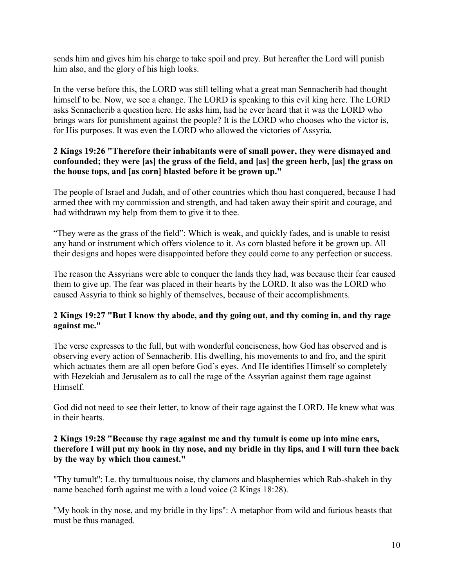sends him and gives him his charge to take spoil and prey. But hereafter the Lord will punish him also, and the glory of his high looks.

In the verse before this, the LORD was still telling what a great man Sennacherib had thought himself to be. Now, we see a change. The LORD is speaking to this evil king here. The LORD asks Sennacherib a question here. He asks him, had he ever heard that it was the LORD who brings wars for punishment against the people? It is the LORD who chooses who the victor is, for His purposes. It was even the LORD who allowed the victories of Assyria.

## **2 Kings 19:26 "Therefore their inhabitants were of small power, they were dismayed and confounded; they were [as] the grass of the field, and [as] the green herb, [as] the grass on the house tops, and [as corn] blasted before it be grown up."**

The people of Israel and Judah, and of other countries which thou hast conquered, because I had armed thee with my commission and strength, and had taken away their spirit and courage, and had withdrawn my help from them to give it to thee.

"They were as the grass of the field": Which is weak, and quickly fades, and is unable to resist any hand or instrument which offers violence to it. As corn blasted before it be grown up. All their designs and hopes were disappointed before they could come to any perfection or success.

The reason the Assyrians were able to conquer the lands they had, was because their fear caused them to give up. The fear was placed in their hearts by the LORD. It also was the LORD who caused Assyria to think so highly of themselves, because of their accomplishments.

## **2 Kings 19:27 "But I know thy abode, and thy going out, and thy coming in, and thy rage against me."**

The verse expresses to the full, but with wonderful conciseness, how God has observed and is observing every action of Sennacherib. His dwelling, his movements to and fro, and the spirit which actuates them are all open before God's eyes. And He identifies Himself so completely with Hezekiah and Jerusalem as to call the rage of the Assyrian against them rage against Himself.

God did not need to see their letter, to know of their rage against the LORD. He knew what was in their hearts.

## **2 Kings 19:28 "Because thy rage against me and thy tumult is come up into mine ears, therefore I will put my hook in thy nose, and my bridle in thy lips, and I will turn thee back by the way by which thou camest."**

"Thy tumult": I.e. thy tumultuous noise, thy clamors and blasphemies which Rab-shakeh in thy name beached forth against me with a loud voice (2 Kings 18:28).

"My hook in thy nose, and my bridle in thy lips": A metaphor from wild and furious beasts that must be thus managed.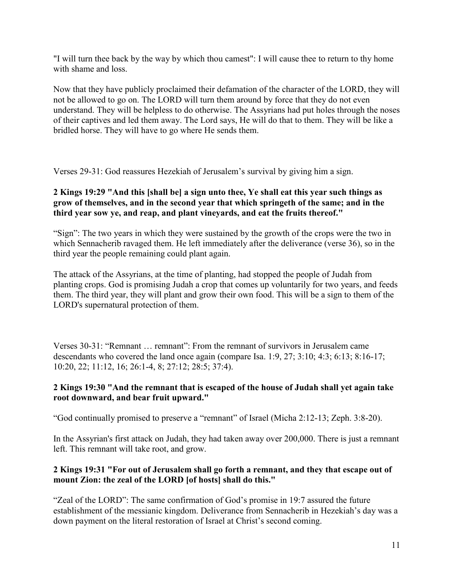"I will turn thee back by the way by which thou camest": I will cause thee to return to thy home with shame and loss.

Now that they have publicly proclaimed their defamation of the character of the LORD, they will not be allowed to go on. The LORD will turn them around by force that they do not even understand. They will be helpless to do otherwise. The Assyrians had put holes through the noses of their captives and led them away. The Lord says, He will do that to them. They will be like a bridled horse. They will have to go where He sends them.

Verses 29-31: God reassures Hezekiah of Jerusalem's survival by giving him a sign.

# **2 Kings 19:29 "And this [shall be] a sign unto thee, Ye shall eat this year such things as grow of themselves, and in the second year that which springeth of the same; and in the third year sow ye, and reap, and plant vineyards, and eat the fruits thereof."**

"Sign": The two years in which they were sustained by the growth of the crops were the two in which Sennacherib ravaged them. He left immediately after the deliverance (verse 36), so in the third year the people remaining could plant again.

The attack of the Assyrians, at the time of planting, had stopped the people of Judah from planting crops. God is promising Judah a crop that comes up voluntarily for two years, and feeds them. The third year, they will plant and grow their own food. This will be a sign to them of the LORD's supernatural protection of them.

Verses 30-31: "Remnant … remnant": From the remnant of survivors in Jerusalem came descendants who covered the land once again (compare Isa. 1:9, 27; 3:10; 4:3; 6:13; 8:16-17; 10:20, 22; 11:12, 16; 26:1-4, 8; 27:12; 28:5; 37:4).

# **2 Kings 19:30 "And the remnant that is escaped of the house of Judah shall yet again take root downward, and bear fruit upward."**

"God continually promised to preserve a "remnant" of Israel (Micha 2:12-13; Zeph. 3:8-20).

In the Assyrian's first attack on Judah, they had taken away over 200,000. There is just a remnant left. This remnant will take root, and grow.

# **2 Kings 19:31 "For out of Jerusalem shall go forth a remnant, and they that escape out of mount Zion: the zeal of the LORD [of hosts] shall do this."**

"Zeal of the LORD": The same confirmation of God's promise in 19:7 assured the future establishment of the messianic kingdom. Deliverance from Sennacherib in Hezekiah's day was a down payment on the literal restoration of Israel at Christ's second coming.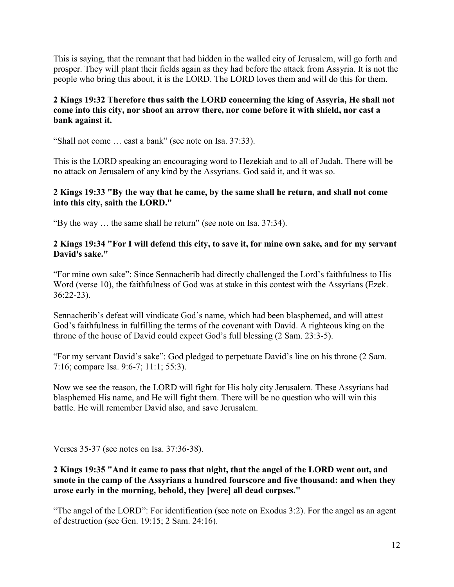This is saying, that the remnant that had hidden in the walled city of Jerusalem, will go forth and prosper. They will plant their fields again as they had before the attack from Assyria. It is not the people who bring this about, it is the LORD. The LORD loves them and will do this for them.

## **2 Kings 19:32 Therefore thus saith the LORD concerning the king of Assyria, He shall not come into this city, nor shoot an arrow there, nor come before it with shield, nor cast a bank against it.**

"Shall not come … cast a bank" (see note on Isa. 37:33).

This is the LORD speaking an encouraging word to Hezekiah and to all of Judah. There will be no attack on Jerusalem of any kind by the Assyrians. God said it, and it was so.

## **2 Kings 19:33 "By the way that he came, by the same shall he return, and shall not come into this city, saith the LORD."**

"By the way … the same shall he return" (see note on Isa. 37:34).

#### **2 Kings 19:34 "For I will defend this city, to save it, for mine own sake, and for my servant David's sake."**

"For mine own sake": Since Sennacherib had directly challenged the Lord's faithfulness to His Word (verse 10), the faithfulness of God was at stake in this contest with the Assyrians (Ezek. 36:22-23).

Sennacherib's defeat will vindicate God's name, which had been blasphemed, and will attest God's faithfulness in fulfilling the terms of the covenant with David. A righteous king on the throne of the house of David could expect God's full blessing (2 Sam. 23:3-5).

"For my servant David's sake": God pledged to perpetuate David's line on his throne (2 Sam. 7:16; compare Isa. 9:6-7; 11:1; 55:3).

Now we see the reason, the LORD will fight for His holy city Jerusalem. These Assyrians had blasphemed His name, and He will fight them. There will be no question who will win this battle. He will remember David also, and save Jerusalem.

Verses 35-37 (see notes on Isa. 37:36-38).

#### **2 Kings 19:35 "And it came to pass that night, that the angel of the LORD went out, and smote in the camp of the Assyrians a hundred fourscore and five thousand: and when they arose early in the morning, behold, they [were] all dead corpses."**

"The angel of the LORD": For identification (see note on Exodus 3:2). For the angel as an agent of destruction (see Gen. 19:15; 2 Sam. 24:16).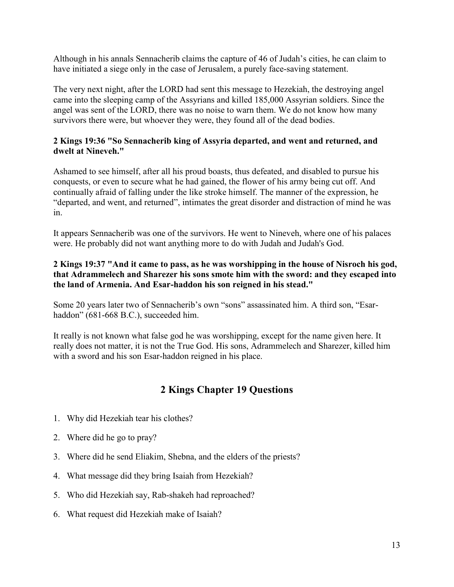Although in his annals Sennacherib claims the capture of 46 of Judah's cities, he can claim to have initiated a siege only in the case of Jerusalem, a purely face-saving statement.

The very next night, after the LORD had sent this message to Hezekiah, the destroying angel came into the sleeping camp of the Assyrians and killed 185,000 Assyrian soldiers. Since the angel was sent of the LORD, there was no noise to warn them. We do not know how many survivors there were, but whoever they were, they found all of the dead bodies.

## **2 Kings 19:36 "So Sennacherib king of Assyria departed, and went and returned, and dwelt at Nineveh."**

Ashamed to see himself, after all his proud boasts, thus defeated, and disabled to pursue his conquests, or even to secure what he had gained, the flower of his army being cut off. And continually afraid of falling under the like stroke himself. The manner of the expression, he "departed, and went, and returned", intimates the great disorder and distraction of mind he was in.

It appears Sennacherib was one of the survivors. He went to Nineveh, where one of his palaces were. He probably did not want anything more to do with Judah and Judah's God.

## **2 Kings 19:37 "And it came to pass, as he was worshipping in the house of Nisroch his god, that Adrammelech and Sharezer his sons smote him with the sword: and they escaped into the land of Armenia. And Esar-haddon his son reigned in his stead."**

Some 20 years later two of Sennacherib's own "sons" assassinated him. A third son, "Esarhaddon" (681-668 B.C.), succeeded him.

It really is not known what false god he was worshipping, except for the name given here. It really does not matter, it is not the True God. His sons, Adrammelech and Sharezer, killed him with a sword and his son Esar-haddon reigned in his place.

# **2 Kings Chapter 19 Questions**

- 1. Why did Hezekiah tear his clothes?
- 2. Where did he go to pray?
- 3. Where did he send Eliakim, Shebna, and the elders of the priests?
- 4. What message did they bring Isaiah from Hezekiah?
- 5. Who did Hezekiah say, Rab-shakeh had reproached?
- 6. What request did Hezekiah make of Isaiah?